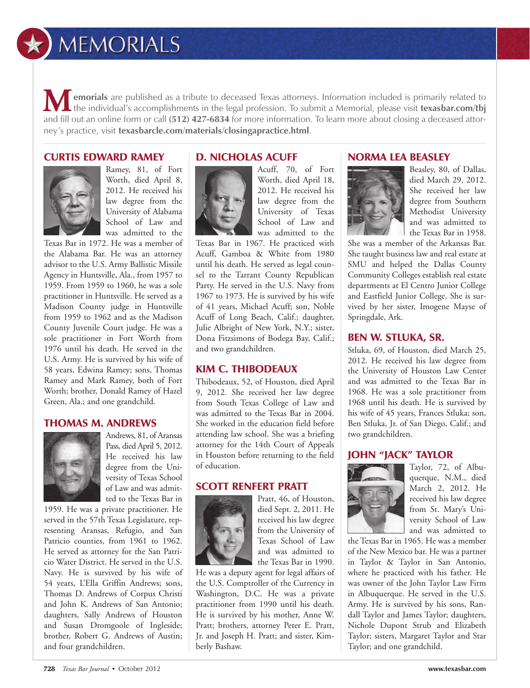# $\star$ ) MEMORIALS

**emorials** are published as a tribute to deceased Texas attorneys. Information included is primarily related to **t** the individual's accomplishments in the legal profession. To submit a Memorial, please visit **texasbar.com/tbj All emorials** are published as a tribute to deceased Texas attorneys. Information included is primarily related to the individual's accomplishments in the legal profession. To submit a Memorial, please visit **texasbar.com** ney's practice, visit **texasbarcle.com/materials/closingapractice.html**.

#### CURTIS EDWARD RAMEY



Ramey, 81, of Fort Worth, died April 8, 2012. He received his law degree from the University of Alabama School of Law and was admitted to the

Texas Bar in 1972. He was a member of the Alabama Bar. He was an attorney advisor to the U.S. Army Ballistic Missile Agency in Huntsville, Ala., from 1957 to 1959. From 1959 to 1960, he was a sole practitioner in Huntsville. He served as a Madison County judge in Huntsville from 1959 to 1962 and as the Madison County Juvenile Court judge. He was a sole practitioner in Fort Worth from 1976 until his death. He served in the U.S. Army. He is survived by his wife of 58 years, Edwina Ramey; sons, Thomas Ramey and Mark Ramey, both of Fort Worth; brother, Donald Ramey of Hazel Green, Ala.; and one grandchild.

## THOMAS M. ANDREWS



Andrews, 81, of Aransas Pass, died April 5, 2012. He received his law degree from the University of Texas School of Law and was admitted to the Texas Bar in

1959. He was a private practitioner. He served in the 57th Texas Legislature, representing Aransas, Refugio, and San Patricio counties, from 1961 to 1962. He served as attorney for the San Patricio Water District. He served in the U.S. Navy. He is survived by his wife of 54 years, L'Ella Griffin Andrews; sons, Thomas D. Andrews of Corpus Christi and John K. Andrews of San Antonio; daughters, Sally Andrews of Houston and Susan Dromgoole of Ingleside; brother, Robert G. Andrews of Austin; and four grandchildren.

# D. NICHOLAS ACUFF



Acuff, 70, of Fort Worth, died April 18, 2012. He received his law degree from the University of Texas School of Law and was admitted to the

Texas Bar in 1967. He practiced with Acuff, Gamboa & White from 1980 until his death. He served as legal counsel to the Tarrant County Republican Party. He served in the U.S. Navy from 1967 to 1973. He is survived by his wife of 41 years, Michael Acuff; son, Noble Acuff of Long Beach, Calif.; daughter, Julie Albright of New York, N.Y.; sister, Dona Fitzsimons of Bodega Bay, Calif.; and two grandchildren.

#### KIM C. THIBODEAUX

Thibodeaux, 52, of Houston, died April 9, 2012. She received her law degree from South Texas College of Law and was admitted to the Texas Bar in 2004. She worked in the education field before attending law school. She was a briefing attorney for the 14th Court of Appeals in Houston before returning to the field of education.

## SCOTT RENFERT PRATT



Pratt, 46, of Houston, died Sept. 2, 2011. He received his law degree from the University of Texas School of Law and was admitted to the Texas Bar in 1990.

He was a deputy agent for legal affairs of the U.S. Comptroller of the Currency in Washington, D.C. He was a private practitioner from 1990 until his death. He is survived by his mother, Anne W. Pratt; brothers, attorney Peter E. Pratt, Jr. and Joseph H. Pratt; and sister, Kimberly Bashaw.

# NORMA LEA BEASLEY



Beasley, 80, of Dallas, died March 29, 2012. She received her law degree from Southern Methodist University and was admitted to the Texas Bar in 1958.

She was a member of the Arkansas Bar. She taught business law and real estate at SMU and helped the Dallas County Community Colleges establish real estate departments at El Centro Junior College and Eastfield Junior College. She is survived by her sister, Imogene Mayse of Springdale, Ark.

#### BEN W. STLUKA, SR.

Stluka, 69, of Houston, died March 25, 2012. He received his law degree from the University of Houston Law Center and was admitted to the Texas Bar in 1968. He was a sole practitioner from 1968 until his death. He is survived by his wife of 45 years, Frances Stluka; son, Ben Stluka, Jr. of San Diego, Calif.; and two grandchildren.

# JOHN "JACK" TAYLOR



Taylor, 72, of Albuquerque, N.M., died March 2, 2012. He received his law degree from St. Mary's University School of Law and was admitted to

the Texas Bar in 1965. He was a member of the New Mexico bar. He was a partner in Taylor & Taylor in San Antonio, where he practiced with his father. He was owner of the John Taylor Law Firm in Albuquerque. He served in the U.S. Army. He is survived by his sons, Randall Taylor and James Taylor; daughters, Nichole Dupont Strub and Elizabeth Taylor; sisters, Margaret Taylor and Star Taylor; and one grandchild.